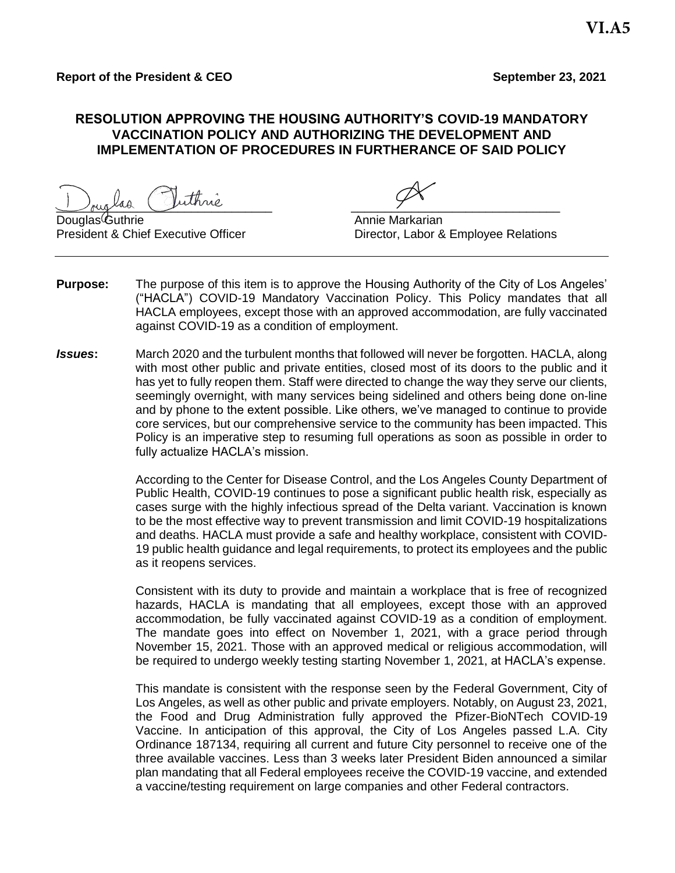### **RESOLUTION APPROVING THE HOUSING AUTHORITY'S COVID-19 MANDATORY VACCINATION POLICY AND AUTHORIZING THE DEVELOPMENT AND IMPLEMENTATION OF PROCEDURES IN FURTHERANCE OF SAID POLICY**

 $J_{\text{rug}}$ laa Juunne  $J$ 

Douglas Guthrie **Annie Markarian** 

President & Chief Executive Officer **Director, Labor & Employee Relations** 

- **Purpose:** The purpose of this item is to approve the Housing Authority of the City of Los Angeles' ("HACLA") COVID-19 Mandatory Vaccination Policy. This Policy mandates that all HACLA employees, except those with an approved accommodation, are fully vaccinated against COVID-19 as a condition of employment.
- *Issues***:** March 2020 and the turbulent months that followed will never be forgotten. HACLA, along with most other public and private entities, closed most of its doors to the public and it has yet to fully reopen them. Staff were directed to change the way they serve our clients, seemingly overnight, with many services being sidelined and others being done on-line and by phone to the extent possible. Like others, we've managed to continue to provide core services, but our comprehensive service to the community has been impacted. This Policy is an imperative step to resuming full operations as soon as possible in order to fully actualize HACLA's mission.

According to the Center for Disease Control, and the Los Angeles County Department of Public Health, COVID-19 continues to pose a significant public health risk, especially as cases surge with the highly infectious spread of the Delta variant. Vaccination is known to be the most effective way to prevent transmission and limit COVID-19 hospitalizations and deaths. HACLA must provide a safe and healthy workplace, consistent with COVID-19 public health guidance and legal requirements, to protect its employees and the public as it reopens services.

Consistent with its duty to provide and maintain a workplace that is free of recognized hazards, HACLA is mandating that all employees, except those with an approved accommodation, be fully vaccinated against COVID-19 as a condition of employment. The mandate goes into effect on November 1, 2021, with a grace period through November 15, 2021. Those with an approved medical or religious accommodation, will be required to undergo weekly testing starting November 1, 2021, at HACLA's expense.

This mandate is consistent with the response seen by the Federal Government, City of Los Angeles, as well as other public and private employers. Notably, on August 23, 2021, the Food and Drug Administration fully approved the Pfizer-BioNTech COVID-19 Vaccine. In anticipation of this approval, the City of Los Angeles passed L.A. City Ordinance 187134, requiring all current and future City personnel to receive one of the three available vaccines. Less than 3 weeks later President Biden announced a similar plan mandating that all Federal employees receive the COVID-19 vaccine, and extended a vaccine/testing requirement on large companies and other Federal contractors.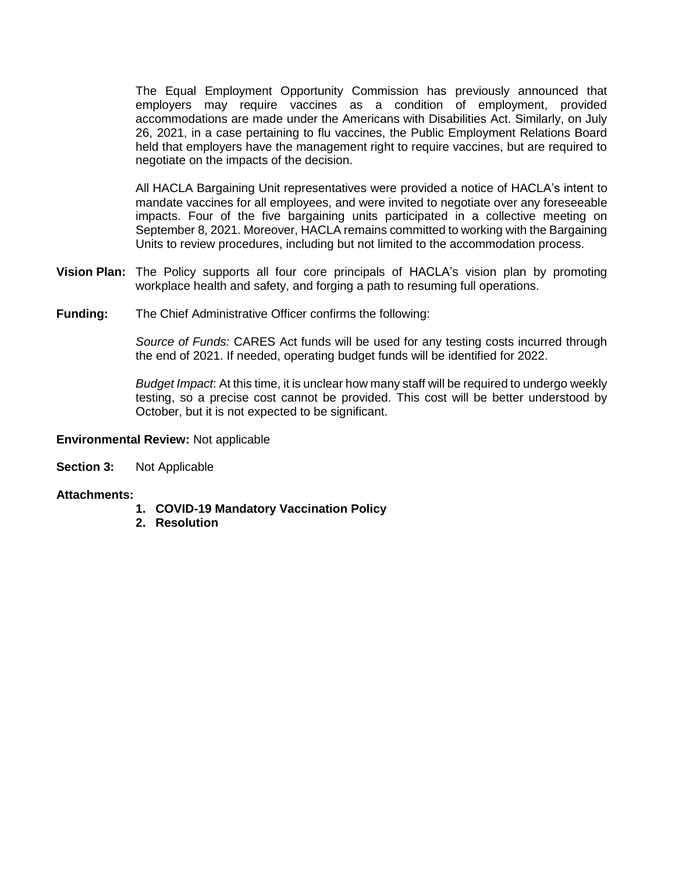The Equal Employment Opportunity Commission has previously announced that employers may require vaccines as a condition of employment, provided accommodations are made under the Americans with Disabilities Act. Similarly, on July 26, 2021, in a case pertaining to flu vaccines, the Public Employment Relations Board held that employers have the management right to require vaccines, but are required to negotiate on the impacts of the decision.

All HACLA Bargaining Unit representatives were provided a notice of HACLA's intent to mandate vaccines for all employees, and were invited to negotiate over any foreseeable impacts. Four of the five bargaining units participated in a collective meeting on September 8, 2021. Moreover, HACLA remains committed to working with the Bargaining Units to review procedures, including but not limited to the accommodation process.

- **Vision Plan:** The Policy supports all four core principals of HACLA's vision plan by promoting workplace health and safety, and forging a path to resuming full operations.
- **Funding:** The Chief Administrative Officer confirms the following:

*Source of Funds:* CARES Act funds will be used for any testing costs incurred through the end of 2021. If needed, operating budget funds will be identified for 2022.

*Budget Impact*: At this time, it is unclear how many staff will be required to undergo weekly testing, so a precise cost cannot be provided. This cost will be better understood by October, but it is not expected to be significant.

#### **Environmental Review:** Not applicable

**Section 3:** Not Applicable

#### **Attachments:**

- **1. COVID-19 Mandatory Vaccination Policy**
- **2. Resolution**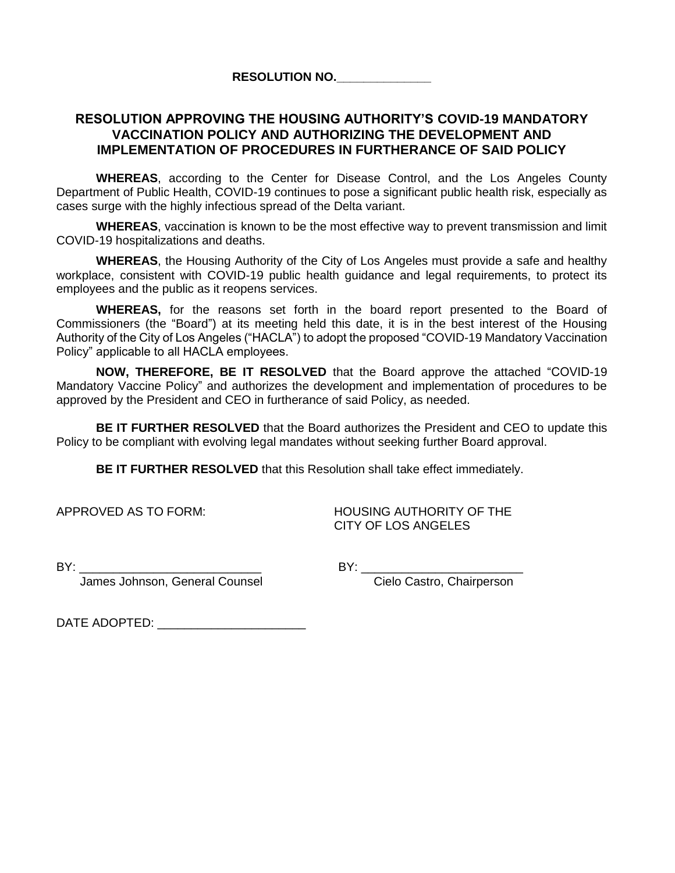**RESOLUTION NO.\_\_\_\_\_\_\_\_\_\_\_\_\_\_**

### **RESOLUTION APPROVING THE HOUSING AUTHORITY'S COVID-19 MANDATORY VACCINATION POLICY AND AUTHORIZING THE DEVELOPMENT AND IMPLEMENTATION OF PROCEDURES IN FURTHERANCE OF SAID POLICY**

**WHEREAS**, according to the Center for Disease Control, and the Los Angeles County Department of Public Health, COVID-19 continues to pose a significant public health risk, especially as cases surge with the highly infectious spread of the Delta variant.

**WHEREAS**, vaccination is known to be the most effective way to prevent transmission and limit COVID-19 hospitalizations and deaths.

**WHEREAS**, the Housing Authority of the City of Los Angeles must provide a safe and healthy workplace, consistent with COVID-19 public health guidance and legal requirements, to protect its employees and the public as it reopens services.

**WHEREAS,** for the reasons set forth in the board report presented to the Board of Commissioners (the "Board") at its meeting held this date, it is in the best interest of the Housing Authority of the City of Los Angeles ("HACLA") to adopt the proposed "COVID-19 Mandatory Vaccination Policy" applicable to all HACLA employees.

**NOW, THEREFORE, BE IT RESOLVED** that the Board approve the attached "COVID-19 Mandatory Vaccine Policy" and authorizes the development and implementation of procedures to be approved by the President and CEO in furtherance of said Policy, as needed.

**BE IT FURTHER RESOLVED** that the Board authorizes the President and CEO to update this Policy to be compliant with evolving legal mandates without seeking further Board approval.

**BE IT FURTHER RESOLVED** that this Resolution shall take effect immediately.

APPROVED AS TO FORM: HOUSING AUTHORITY OF THE CITY OF LOS ANGELES

BY: \_\_\_\_\_\_\_\_\_\_\_\_\_\_\_\_\_\_\_\_\_\_\_\_\_\_\_ BY: \_\_\_\_\_\_\_\_\_\_\_\_\_\_\_\_\_\_\_\_\_\_\_\_ James Johnson, General Counsel

DATE ADOPTED: \_\_\_\_\_\_\_\_\_\_\_\_\_\_\_\_\_\_\_\_\_\_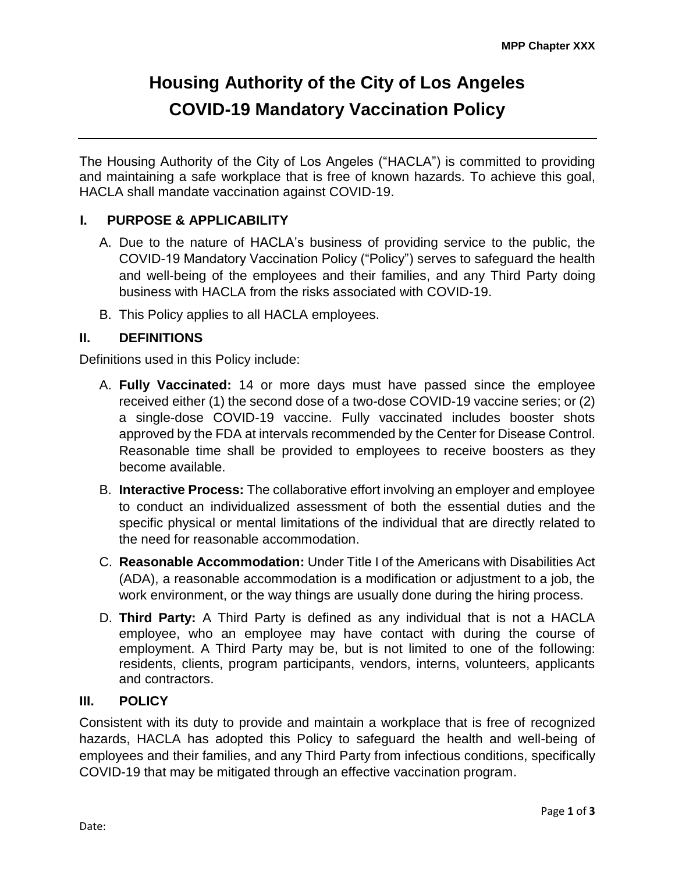# **Housing Authority of the City of Los Angeles COVID-19 Mandatory Vaccination Policy**

The Housing Authority of the City of Los Angeles ("HACLA") is committed to providing and maintaining a safe workplace that is free of known hazards. To achieve this goal, HACLA shall mandate vaccination against COVID-19.

# **I. PURPOSE & APPLICABILITY**

- A. Due to the nature of HACLA's business of providing service to the public, the COVID-19 Mandatory Vaccination Policy ("Policy") serves to safeguard the health and well-being of the employees and their families, and any Third Party doing business with HACLA from the risks associated with COVID-19.
- B. This Policy applies to all HACLA employees.

### **II. DEFINITIONS**

Definitions used in this Policy include:

- A. **Fully Vaccinated:** 14 or more days must have passed since the employee received either (1) the second dose of a two-dose COVID-19 vaccine series; or (2) a single-dose COVID-19 vaccine. Fully vaccinated includes booster shots approved by the FDA at intervals recommended by the Center for Disease Control. Reasonable time shall be provided to employees to receive boosters as they become available.
- B. **Interactive Process:** The collaborative effort involving an employer and employee to conduct an individualized assessment of both the essential duties and the specific physical or mental limitations of the individual that are directly related to the need for reasonable accommodation.
- C. **Reasonable Accommodation:** Under Title I of the Americans with Disabilities Act (ADA), a reasonable accommodation is a modification or adjustment to a job, the work environment, or the way things are usually done during the hiring process.
- D. **Third Party:** A Third Party is defined as any individual that is not a HACLA employee, who an employee may have contact with during the course of employment. A Third Party may be, but is not limited to one of the following: residents, clients, program participants, vendors, interns, volunteers, applicants and contractors.

### **III. POLICY**

Consistent with its duty to provide and maintain a workplace that is free of recognized hazards, HACLA has adopted this Policy to safeguard the health and well-being of employees and their families, and any Third Party from infectious conditions, specifically COVID-19 that may be mitigated through an effective vaccination program.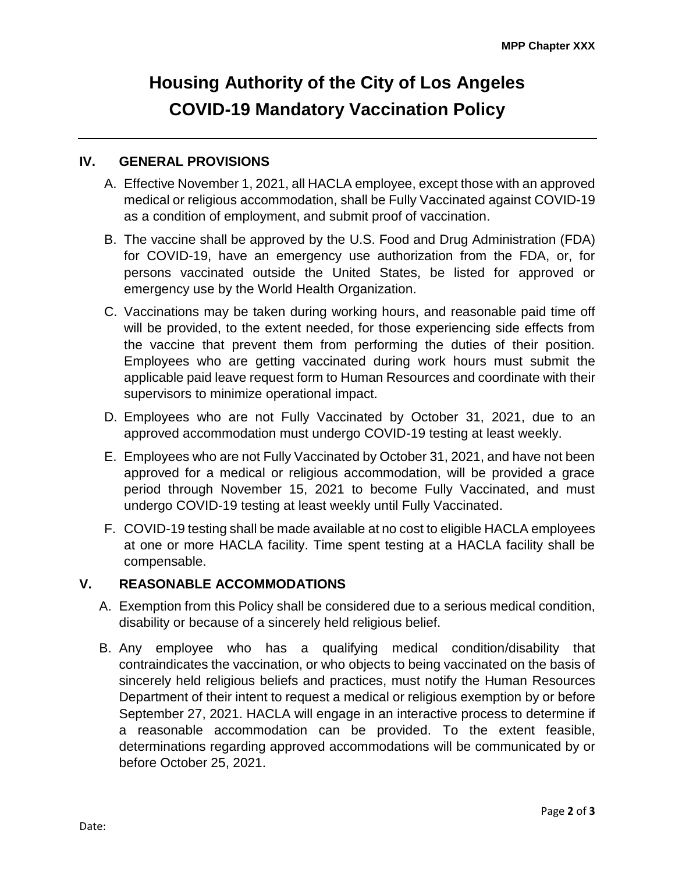# **Housing Authority of the City of Los Angeles COVID-19 Mandatory Vaccination Policy**

### **IV. GENERAL PROVISIONS**

- A. Effective November 1, 2021, all HACLA employee, except those with an approved medical or religious accommodation, shall be Fully Vaccinated against COVID-19 as a condition of employment, and submit proof of vaccination.
- B. The vaccine shall be approved by the U.S. Food and Drug Administration (FDA) for COVID-19, have an emergency use authorization from the FDA, or, for persons vaccinated outside the United States, be listed for approved or emergency use by the World Health Organization.
- C. Vaccinations may be taken during working hours, and reasonable paid time off will be provided, to the extent needed, for those experiencing side effects from the vaccine that prevent them from performing the duties of their position. Employees who are getting vaccinated during work hours must submit the applicable paid leave request form to Human Resources and coordinate with their supervisors to minimize operational impact.
- D. Employees who are not Fully Vaccinated by October 31, 2021, due to an approved accommodation must undergo COVID-19 testing at least weekly.
- E. Employees who are not Fully Vaccinated by October 31, 2021, and have not been approved for a medical or religious accommodation, will be provided a grace period through November 15, 2021 to become Fully Vaccinated, and must undergo COVID-19 testing at least weekly until Fully Vaccinated.
- F. COVID-19 testing shall be made available at no cost to eligible HACLA employees at one or more HACLA facility. Time spent testing at a HACLA facility shall be compensable.

#### **V. REASONABLE ACCOMMODATIONS**

- A. Exemption from this Policy shall be considered due to a serious medical condition, disability or because of a sincerely held religious belief.
- B. Any employee who has a qualifying medical condition/disability that contraindicates the vaccination, or who objects to being vaccinated on the basis of sincerely held religious beliefs and practices, must notify the Human Resources Department of their intent to request a medical or religious exemption by or before September 27, 2021. HACLA will engage in an interactive process to determine if a reasonable accommodation can be provided. To the extent feasible, determinations regarding approved accommodations will be communicated by or before October 25, 2021.